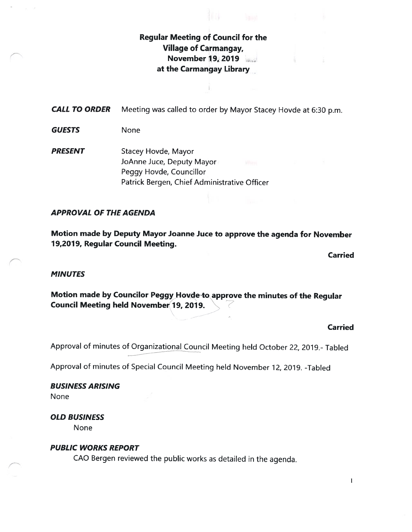## Regular Meeting of Council for the Village of Carmangay, November 19, 2019 at the Carmangay Library

CALL TO ORDER Meeting was called to order by Mayor Stacey Hovde at 6:30 p.m.

GUESTS None

**PRESENT** Stacey Hovde, Mayor JoAnne Juce, Deputy Mayor Peggy Hovde, Councillor Patrick Bergen, Chief Administrative Officer

#### APPROVAL OF THE AGENDA

Motion made by Deputy Mayor Joanne Juce to approve the agenda for November 19,2019, Regular Council Meeting.

Carried

#### **MINUTES**

Motion made by Councilor Peggy Hovde to approve the minutes of the Regular Council Meeting held November 19, 2019.

Carried

Approval of minutes of Organizational Council Meeting held October 22, 2019.- Tabled

Approval of minutes of Special Council Meeting held November 12, 2019. -Tabled

BUSINESS ARISING None

OLD BUSINESS

None

#### PUBLIC WORKS REPORT

CAO Bergen reviewed the public works as detailed in the agenda.

 $\mathbf{1}$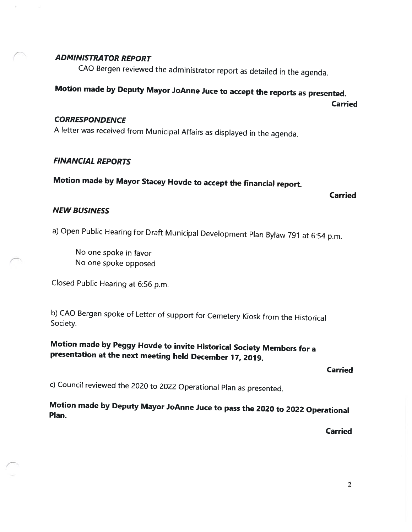#### ADMINISTRA TOR REPORT

CAO Bergen reviewed the administrator report as detailed in the agenda.

# Motion made by Deputy Mayor JoAnne Juce to accept the reports as presented.

Carried

#### **CORRESPONDENCE**

<sup>A</sup> letter was received from Municipal Affairs as displayed in the agenda.

#### FINANCIAL REPORTS

# Motion made by Mayor Stacey Hovde to accept the financial report.

#### Carried

#### NEW BUSINESS

a) Open Public Hearing for Draft Municipal Development Plan Bylaw <sup>791</sup> at 6:54 p.m.

No one spoke in favor No one spoke opposed

Closed Public Hearing at 6:56 p.m.

b) CAO Bergen spoke of Letter of support for Cemetery Kiosk from the Historical Society.

Motion made by Peggy Hovde to invite Historical Society Members for <sup>a</sup> presentation at the next meeting held December 17, 2019.

#### Carried

c) Council reviewed the <sup>2020</sup> to <sup>2022</sup> Operational Plan as presented.

Motion made by Deputy Mayor JoAnne Juce to pass the <sup>2020</sup> to <sup>2022</sup> Operational Plan.

Carried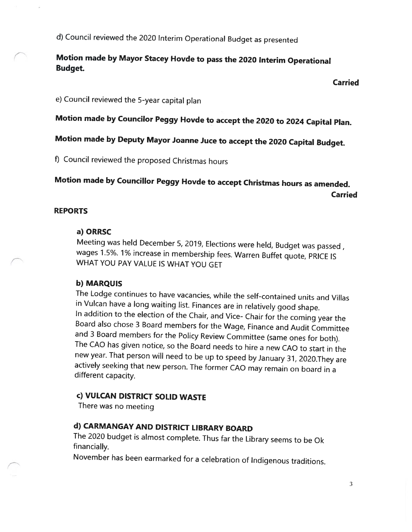d) Council reviewed the 2020 Interim Operational Budget as presented

## Motion made by Mayor Stacey Hovde to pass the <sup>2020</sup> Interim Operational Budget.

#### Carried

e) Council reviewed the 5-year capital <sup>p</sup>lan

Motion made by Councilor Peggy Hovde to accept the <sup>2020</sup> to <sup>2024</sup> Capital Plan.

# Motion made by Deputy Mayor Joanne Juce to accept the <sup>2020</sup> Capital Budget.

f) Council reviewed the proposed Christmas hours

# Motion made by Councillor Peggy Hovde to accept Christmas hours as amended. Carried

#### REPORTS

#### a) ORRSC

Meeting was held December 5, 2019, Elections were held, Budget was passed, wages 1.5%. 1% increase in membership fees. Warren Buffet quote, PRICE IS WHAT YOU PAY VALUE IS WHAT YOU GET

#### b) MARQUIS

The Lodge continues to have vacancies, while the self-contained units and Villas in Vulcan have <sup>a</sup> long waiting list. Finances are in relatively good shape. In addition to the election of the Chair, and Vice- Chair for the coming year the Board also chose <sup>3</sup> Board members for the Wage, Finance and Audit Committee and <sup>3</sup> Board members for the Policy Review Committee (same ones for both). The CAD has <sup>g</sup>iven notice, so the Board needs to hire <sup>a</sup> new CAD to start in the new year. That person will need to be up to speed by January 31, 2020.They are actively seeking that new person. The former CAD may remain on board in <sup>a</sup> different capacity.

#### c) VULCAN DISTRICT SOLID WASTE

There was no meeting

## d) CARMANGAY AND DISTRICT LIBRARY BOARD

The <sup>2020</sup> budget is almost complete. Thus far the Library seems to be Ok financially.

November has been earmarked for <sup>a</sup> celebration of Indigenous traditions.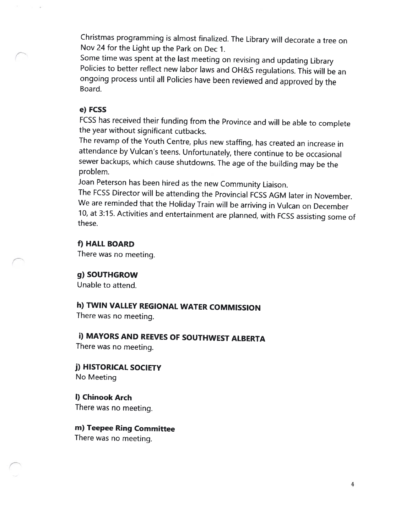Christmas programming is almost finalized. The Library will decorate <sup>a</sup> tree on Nov24 for the Light up the Park on Dec 1.

Some time was spent at the last meeting on revising and updating Library Policies to better reflect new labor laws and OH&S regulations. This will be an ongoing process until all Policies have been reviewed and approved by the Board.

#### e) FCSS

FCSS has received their funding from the Province and will be able to complete the year without significant cutbacks.

The revamp of the Youth Centre, <sup>p</sup>lus new staffing, has created an increase in attendance by Vulcan's teens. Unfortunately, there continue to be occasional sewer backups, which cause shutdowns. The age of the building may be the problem.

Joan Peterson has been hired as the new Community Liaison.

The FCSS Director will be attending the Provincial FCSS AGM later in November. We are reminded that the Holiday Train will be arriving in Vulcan on December 10, at 3:15. Activities and entertainment are <sup>p</sup>lanned, with FCSS assisting some of these.

f) HALL BOARD

There was no meeting.

g) SOUTHGROW

Unable to attend.

h) TWIN VALLEY REGIONAL WATER COMMISSION

There was no meeting.

**i) MAYORS AND REEVES OF SOUTHWEST ALBERTA** 

There was no meeting.

j) HISTORICAL SOCIETY No Meeting

I) Chinook Arch There was no meeting.

m) Teepee Ring Committee There was no meeting.